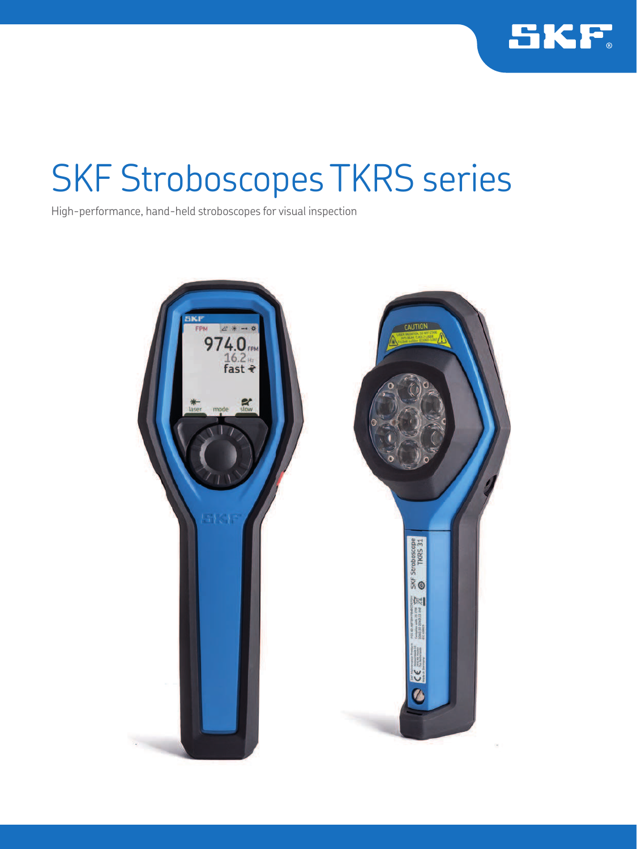

# SKF Stroboscopes TKRS series

High-performance, hand-held stroboscopes for visual inspection

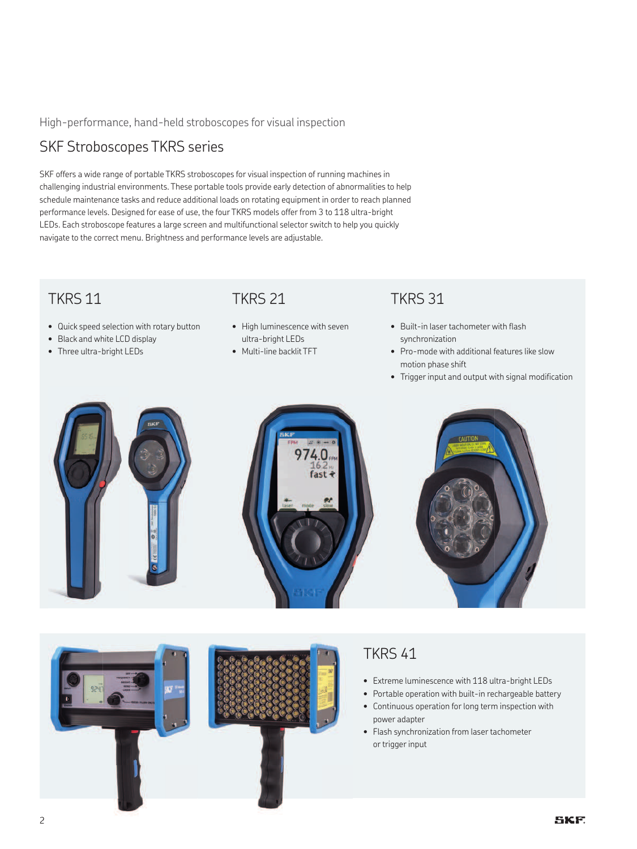#### High-performance, hand-held stroboscopes for visual inspection

### SKF Stroboscopes TKRS series

SKF offers a wide range of portable TKRS stroboscopes for visual inspection of running machines in challenging industrial environments. These portable tools provide early detection of abnormalities to help schedule maintenance tasks and reduce additional loads on rotating equipment in order to reach planned performance levels. Designed for ease of use, the four TKRS models offer from 3 to 118 ultra-bright LEDs. Each stroboscope features a large screen and multifunctional selector switch to help you quickly navigate to the correct menu. Brightness and performance levels are adjustable.

### TKRS 11

- Quick speed selection with rotary button
- Black and white LCD display
- Three ultra-bright LEDs

#### TKRS 21

- High luminescence with seven ultra-bright LEDs
- Multi-line backlit TFT

### TKRS 31

- Built-in laser tachometer with flash synchronization
- Pro-mode with additional features like slow motion phase shift
- Trigger input and output with signal modification





### TKRS 41

- Extreme luminescence with 118 ultra-bright LEDs
- Portable operation with built-in rechargeable battery
- Continuous operation for long term inspection with power adapter
- Flash synchronization from laser tachometer or trigger input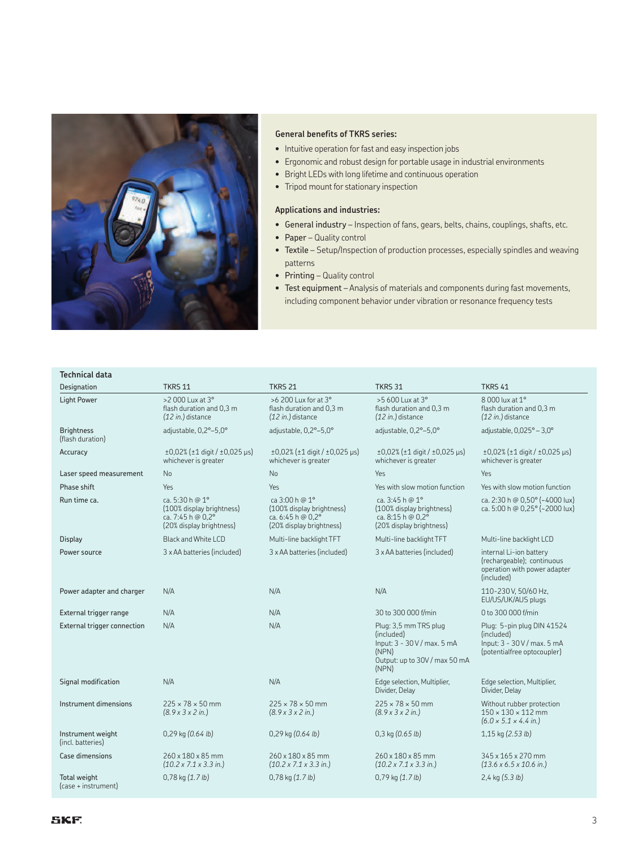

#### **General benefits of TKRS series:**

- Intuitive operation for fast and easy inspection jobs
- Ergonomic and robust design for portable usage in industrial environments
- Bright LEDs with long lifetime and continuous operation
- Tripod mount for stationary inspection

#### **Applications and industries:**

- General industry Inspection of fans, gears, belts, chains, couplings, shafts, etc.
- Paper Quality control
- Textile Setup/Inspection of production processes, especially spindles and weaving patterns
- Printing Quality control
- Test equipment Analysis of materials and components during fast movements, including component behavior under vibration or resonance frequency tests

## **Technical data**

| Designation                            | <b>TKRS 11</b>                                                                                         | <b>TKRS 21</b>                                                                                        | <b>TKRS 31</b>                                                                                                       | <b>TKRS 41</b>                                                                                           |
|----------------------------------------|--------------------------------------------------------------------------------------------------------|-------------------------------------------------------------------------------------------------------|----------------------------------------------------------------------------------------------------------------------|----------------------------------------------------------------------------------------------------------|
| <b>Light Power</b>                     | >2 000 Lux at 3°<br>flash duration and 0.3 m<br>$(12 in.)$ distance                                    | >6 200 Lux for at 3°<br>flash duration and 0.3 m<br>$(12 in.)$ distance                               | >5 600 Lux at 3°<br>flash duration and 0.3 m<br>$(12 in.)$ distance                                                  | 8 000 lux at 1°<br>flash duration and 0.3 m<br>$(12 in.)$ distance                                       |
| <b>Brightness</b><br>(flash duration)  | adjustable, 0,2°-5,0°                                                                                  | adjustable, 0,2°-5,0°                                                                                 | adjustable, 0,2°-5,0°                                                                                                | adjustable, $0.025^\circ - 3.0^\circ$                                                                    |
| Accuracy                               | $±0,02%$ ( $±1$ digit / $±0,025$ µs)<br>whichever is greater                                           | $±0.02%$ ( $±1$ digit / $±0.025$ µs)<br>whichever is greater                                          | $±0,02%$ ( $±1$ digit / $±0,025$ µs)<br>whichever is greater                                                         | $±0,02%$ ( $±1$ digit / $±0,025$ µs)<br>whichever is greater                                             |
| Laser speed measurement                | No                                                                                                     | No                                                                                                    | <b>Yes</b>                                                                                                           | Yes                                                                                                      |
| Phase shift                            | Yes                                                                                                    | Yes                                                                                                   | Yes with slow motion function                                                                                        | Yes with slow motion function                                                                            |
| Run time ca.                           | ca. 5:30 h @ $1^{\circ}$<br>(100% display brightness)<br>ca. 7:45 h @ 0,2°<br>(20% display brightness) | ca 3:00 h @ $1^{\circ}$<br>(100% display brightness)<br>ca. 6:45 h @ 0,2°<br>(20% display brightness) | ca. $3:45h@1°$<br>(100% display brightness)<br>ca. 8:15 h @ 0,2°<br>(20% display brightness)                         | ca. 2:30 h @ 0,50° (~4000 lux)<br>ca. 5:00 h @ 0,25° (~2000 lux)                                         |
| <b>Display</b>                         | Black and White LCD                                                                                    | Multi-line backlight TFT                                                                              | Multi-line backlight TFT                                                                                             | Multi-line backlight LCD                                                                                 |
| Power source                           | 3 x AA batteries (included)                                                                            | 3 x AA batteries (included)                                                                           | 3 x AA batteries (included)                                                                                          | internal Li-ion battery<br>(rechargeable); continuous<br>operation with power adapter<br>(included)      |
| Power adapter and charger              | N/A                                                                                                    | N/A                                                                                                   | N/A                                                                                                                  | 110-230 V, 50/60 Hz,<br>EU/US/UK/AUS plugs                                                               |
| External trigger range                 | N/A                                                                                                    | N/A                                                                                                   | 30 to 300 000 f/min                                                                                                  | 0 to 300 000 f/min                                                                                       |
| External trigger connection            | N/A                                                                                                    | N/A                                                                                                   | Plug: 3,5 mm TRS plug<br>(included)<br>Input: $3 - 30V/max. 5 mA$<br>(NPN)<br>Output: up to 30V / max 50 mA<br>(NPN) | Plug: 5-pin plug DIN 41524<br>(included)<br>Input: 3 - 30 V / max. 5 mA<br>(potentialfree optocoupler)   |
| Signal modification                    | N/A                                                                                                    | N/A                                                                                                   | Edge selection, Multiplier,<br>Divider, Delay                                                                        | Edge selection, Multiplier,<br>Divider, Delay                                                            |
| Instrument dimensions                  | $225 \times 78 \times 50$ mm<br>$(8.9 \times 3 \times 2 \text{ in.})$                                  | $225 \times 78 \times 50$ mm<br>$(8.9 \times 3 \times 2 \text{ in.})$                                 | $225 \times 78 \times 50$ mm<br>$(8.9 \times 3 \times 2 \text{ in.})$                                                | Without rubber protection<br>$150 \times 130 \times 112$ mm<br>$(6.0 \times 5.1 \times 4.4 \text{ in.})$ |
| Instrument weight<br>(incl. batteries) | $0,29$ kg $(0.64$ lb)                                                                                  | $0,29$ kg $(0.64$ lb)                                                                                 | $0,3$ kg $(0.65$ lb)                                                                                                 | 1,15 kg (2.53 lb)                                                                                        |
| <b>Case dimensions</b>                 | 260 x 180 x 85 mm<br>$(10.2 \times 7.1 \times 3.3 \text{ in.})$                                        | $260 \times 180 \times 85$ mm<br>$(10.2 \times 7.1 \times 3.3 \text{ in.})$                           | 260 x 180 x 85 mm<br>$(10.2 \times 7.1 \times 3.3 \text{ in.})$                                                      | 345 x 165 x 270 mm<br>$(13.6 \times 6.5 \times 10.6 \text{ in.})$                                        |
| Total weight<br>(case + instrument)    | $0,78$ kg $(1.7 lb)$                                                                                   | $0,78$ kg $(1.7 lb)$                                                                                  | $0,79$ kg $(1.7 lb)$                                                                                                 | $2,4$ kg $(5.3 lb)$                                                                                      |